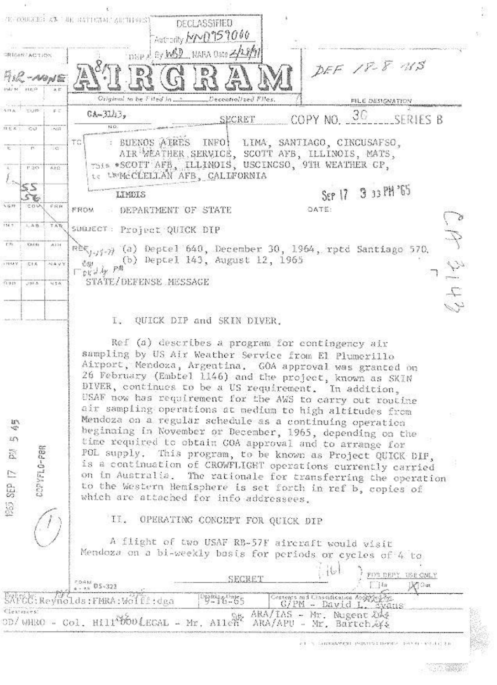|                                      | 生日的医活起 寿阳 地名日信西尼 有限时的过去<br>DECLASSIFIED                                                                                                                                                                                                                                                                                                                                                                                                                                                                                                                                                                                                                                                                                                                                                                                                                                                                        |  |  |
|--------------------------------------|----------------------------------------------------------------------------------------------------------------------------------------------------------------------------------------------------------------------------------------------------------------------------------------------------------------------------------------------------------------------------------------------------------------------------------------------------------------------------------------------------------------------------------------------------------------------------------------------------------------------------------------------------------------------------------------------------------------------------------------------------------------------------------------------------------------------------------------------------------------------------------------------------------------|--|--|
|                                      | Autrority MMD759000                                                                                                                                                                                                                                                                                                                                                                                                                                                                                                                                                                                                                                                                                                                                                                                                                                                                                            |  |  |
| <b>RIGHT ACTION</b>                  | Disp & By MSD NARA Oste 2/28/91                                                                                                                                                                                                                                                                                                                                                                                                                                                                                                                                                                                                                                                                                                                                                                                                                                                                                |  |  |
| AR-NONE<br><b>BAZ N WHI</b>          | DEF 18-8 NS                                                                                                                                                                                                                                                                                                                                                                                                                                                                                                                                                                                                                                                                                                                                                                                                                                                                                                    |  |  |
|                                      | Decentialized Files.<br>FILE DESIGNATION                                                                                                                                                                                                                                                                                                                                                                                                                                                                                                                                                                                                                                                                                                                                                                                                                                                                       |  |  |
| <b>MEXITE</b><br>正式                  | $0A-31A3,$<br>COPY NO. 30 SERIES B<br>SECRET                                                                                                                                                                                                                                                                                                                                                                                                                                                                                                                                                                                                                                                                                                                                                                                                                                                                   |  |  |
| $914.8$ $-0.01$<br>$-2.057$          |                                                                                                                                                                                                                                                                                                                                                                                                                                                                                                                                                                                                                                                                                                                                                                                                                                                                                                                |  |  |
| ಂ<br>P.<br>15335<br>人士会              | BUENOS AIRES INFO! LIMA, SANTIACO, CINCUSAFSO,<br>TС<br>AIR WEATHER SERVICE, SCOTT AFB, ILLINOIS, MATS,<br>This *SCOTT AFB, ILLINOIS, USCINCSO, 9TH WEATHER CP,<br>te treMcCLELLAN AFB, CALLFORNIA                                                                                                                                                                                                                                                                                                                                                                                                                                                                                                                                                                                                                                                                                                             |  |  |
|                                      | SEP 17 3 33 PH '65<br>LIMDIS                                                                                                                                                                                                                                                                                                                                                                                                                                                                                                                                                                                                                                                                                                                                                                                                                                                                                   |  |  |
| <b>SGTF</b><br>cav<br><b>FRW</b>     | OATE:<br>FROM<br>DEPARTMENT OF STATE                                                                                                                                                                                                                                                                                                                                                                                                                                                                                                                                                                                                                                                                                                                                                                                                                                                                           |  |  |
| 114.7<br>1, 4.15.<br>TAR.            | SUBJECT: Project QUICK DIP                                                                                                                                                                                                                                                                                                                                                                                                                                                                                                                                                                                                                                                                                                                                                                                                                                                                                     |  |  |
| <b>E2E</b><br>Kistra<br>A124         | $(3, 4)$ (a) Deptel 640, December 30, 1964, rptd Santiago 570,<br>(b) Deptel 143, August 12, 1965<br>$\begin{array}{c}\n\mathcal{L} \mathcal{W} \\ \Box\n\mathcal{W} \mathcal{L} \mathcal{H} \\ \Box\n\end{array}$<br>ひじみ<br>STATE/DEFENSE MESSAGE                                                                                                                                                                                                                                                                                                                                                                                                                                                                                                                                                                                                                                                             |  |  |
| NAYY<br>OBSEX<br>定于月                 |                                                                                                                                                                                                                                                                                                                                                                                                                                                                                                                                                                                                                                                                                                                                                                                                                                                                                                                |  |  |
| 0.048<br>54.5<br>$-788.36$           |                                                                                                                                                                                                                                                                                                                                                                                                                                                                                                                                                                                                                                                                                                                                                                                                                                                                                                                |  |  |
|                                      |                                                                                                                                                                                                                                                                                                                                                                                                                                                                                                                                                                                                                                                                                                                                                                                                                                                                                                                |  |  |
|                                      | I. QUICK DIP and SKIN DIVER.                                                                                                                                                                                                                                                                                                                                                                                                                                                                                                                                                                                                                                                                                                                                                                                                                                                                                   |  |  |
| P/ 5 45<br>COPYFLO-PBR<br>1 435 (38) | Ref (a) describes a program for contingency air<br>sampling by US Air Weather Service from El Plumerillo<br>Airport, Mendoza, Argentina. GOA approval was granted on<br>26 February (Embtel 1146) and the project, known as SKIN<br>DIVER, continues to be a US requirement. In addition,<br>USAF now has requirement for the AWS to carry out routine<br>air sampling operations at medium to high altitudes from<br>Mendoza on a regular schedule as a continuing operation<br>beginning in November or December, 1965, depending on the<br>time required to obtain GOA approval and to arrange for<br>POL supply. This program, to be known as Project QUICK DIP,<br>is a continuation of CROWFLIGHT operations currently carried<br>on in Australia. The rationale for transferring the operation<br>to the Western Hemisphere is set forth in ref b, copies of<br>which are attached for info addressees. |  |  |
|                                      | II. OPERATING CONCEPT FOR QUICK DIP                                                                                                                                                                                                                                                                                                                                                                                                                                                                                                                                                                                                                                                                                                                                                                                                                                                                            |  |  |
|                                      | A flight of two USAF RB-57F aircraft would visit<br>Mendoza on a bi-weekly basis for periods or cycles of 4 to                                                                                                                                                                                                                                                                                                                                                                                                                                                                                                                                                                                                                                                                                                                                                                                                 |  |  |
|                                      | <b>USE CNLY</b><br>FOS DEFY<br>SECRE.<br>$\frac{1}{2}$<br><b>X</b> Car<br>4.4.44                                                                                                                                                                                                                                                                                                                                                                                                                                                                                                                                                                                                                                                                                                                                                                                                                               |  |  |
|                                      | SAPCC: Reynolds: FMRA: Wolff: dga<br>oping contes<br>Contents and Chastification Applyfed des<br>G/PM - David L. Evans                                                                                                                                                                                                                                                                                                                                                                                                                                                                                                                                                                                                                                                                                                                                                                                         |  |  |
| Cleatiners:                          | SA ARA/IAS - Mr. Nugent DA?<br>OD/WHRO - Col. Hill bootkcal - Mr. Allen                                                                                                                                                                                                                                                                                                                                                                                                                                                                                                                                                                                                                                                                                                                                                                                                                                        |  |  |
|                                      | ARA/APU - Mr. Bartch.&K&                                                                                                                                                                                                                                                                                                                                                                                                                                                                                                                                                                                                                                                                                                                                                                                                                                                                                       |  |  |

 $\sim 1000$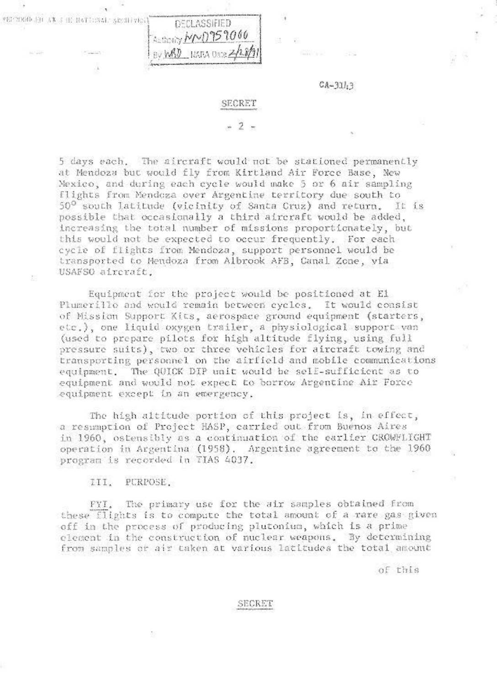

# SECRET

 $-2 -$ 

5 days each. The aircraft would not be stationed permanently at Mendoza but would fly from Kirtland Air Force Base, New Mexico, and during each cycle would make 5 or 6 air sampling Flights from Mendoza over Argentine territory due south to 50° south latitude (vicinity of Santa Cruz) and return.  $11.18$ possible that occasionally a third aircraft would be added, increasing the total number of missions proportionately, but this would not be expected to occur frequently. For each cycle of flights from Mendoza, support personnel would be transported to Mendoza from Albrook AFB, Canal Zone, via USAFSO aircraft.

Equipment for the project would be positioned at El Plumerillo and would remain between cycles. It would consist of Mission Support Kits, aerospace ground equipment (starters, etc.), one liquid oxygen trailer, a physiological support van (used to prepare pilots for high altitude flying, using full pressure suits), two or three vehicles for aircraft towing and transporting personnel on the airfield and mobile communications equipment. The QUICK DIP unit would be self-sufficient as to equipment and would not expect to borrow Argentine Air Force equipment except in an emergency.

The high altitude portion of this project is, in effect, a resumption of Project HASP, carried out from Buenos Aires in 1960, ostensibly as a continuation of the earlier CROWFLIGHT operation in Argentina (1958). Argentine agreement to the 1960 program is recorded in TIAS 4037.

#### III. PURPOSE,

t.

The primary use for the sir samples obtained from FYI. these flights is to compute the total amount of a rare gas given off in the process of producing plutonium, which is a prime element in the construction of nuclear weapons. By determining from samples or air taken at various latitudes the total amount

of this

# SECRET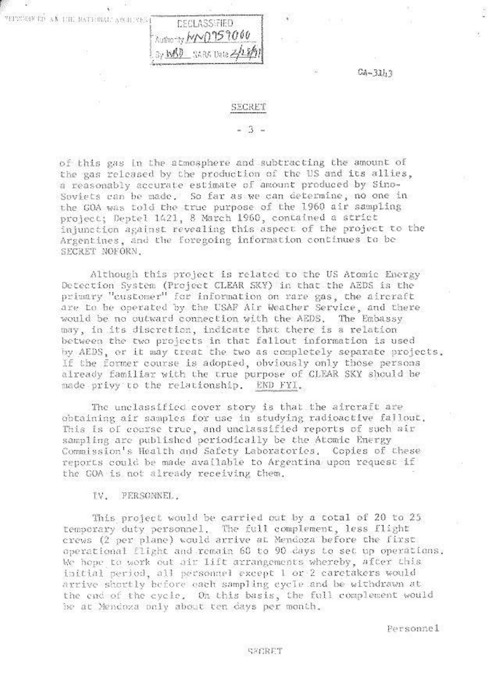**MITRONE TO AN THE NATIONAL ARCHIVES** 



 $CA - 32h3$ 

## SECRET

# $3 -$

of this gas in the atmosphere and subtracting the amount of the gas released by the production of the US and its allies, a reasonably accurate estimate of amount produced by Sino-Soviets can be made. So far as we can determine, no one in the GOA was told the true purpose of the 1960 air sampling project; Deptel 1421, 8 March 1960, contained a strict injunction against revealing this aspect of the project to the Argentines, and the foregoing information continues to be SECRET NOFORN.

Although this project is related to the US Atomic Energy Detection System (Project CLEAR SKY) in that the AEDS is the primary "customer" for information on rare gas, the aircraft are to be operated by the USAF Air Weather Service, and there would be no outward connection with the AEDS. The Embassy may, in its discretion, indicate that there is a relation between the two projects in that fallout information is used by AEDS, or it may treat the two as completely separate projects. If the former course is adopted, obviously only those persons aiready familiar with the true purpose of CLEAR SKY should be made privy to the relationship. END FYI.

The unclassified cover story is that the aircraft are obtaining air samples for use in studying radioactive fallout. This is of course true, and unclassified reports of such air sampling are published periodically be the Atomic Energy Commission's Health and Safety Laboratories. Copies of these reports could be made available to Argentina upon request if the GOA is not already receiving them.

## IV. PERSONNEL.

This project would be carried out by a total of 20 to 25 temporary duty personnel. The full complement, less flight crews (2 per plane) would arrive at Mendoza before the first. operational flight and remain 60 to 90 days to set up operations. We hope to work out air lift arrangements whereby, after this initial period, all personnel except 1 or 2 caretakers would arrive shortly before each sampling eyele and be withdrawn at the end of the cycle. On this basis, the full complement would be at Mendoza only about ten days per month.

Personnel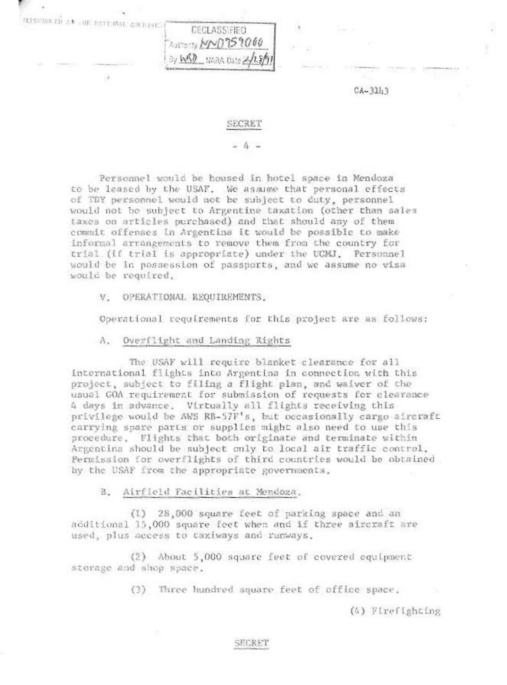| <b>CLEARING ED AN SHE RATIONAL ANTIQUEST</b> | CECLASSIFIED             |  |
|----------------------------------------------|--------------------------|--|
|                                              | Thus y MNO759000         |  |
|                                              | By WBD NARA Date 2/28/91 |  |

 $CA - 3113$ 

## SECRET

 $-4-$ 

Personnel would be housed in hotel space in Mendoza to be leased by the USAF. We assume that personal effects of TDY personnel would not be subject to duty, personnel would not be subject to Argentine taxation (other than sales taxes on articles purchased) and that should any of them commit offenses in Argentina it would be possible to make informal arrangements to remove them from the country for trial (if trial is appropriate) under the UCMJ. Personnel would be in possession of passports, and we assume no visa would be required.

OPERATIONAL REQUIREMENTS.  $V$ .

Operational requirements for this project are as follows:

A. Overflight and Landing Rights

The USAF will require blanket clearance for all international flights into Argentina in connection with this project, subject to filing a flight plan, and waiver of the usual GOA requirement for submission of requests for clearance 4 days in advance. Virtually all flights receiving this privilege would be AWS RB-57F's, but occasionally cargo aircraft carrying spare parts or supplies might also need to use this procedure. Flights that both originate and terminate within Argentina should be subject only to local air traffic control. Permission for overflights of third countries would be obtained by the USAF from the appropriate governments.

B. Airfield Facilities at Mendoza.

(1) 28,000 square feet of parking space and an additional 15,000 square feet when and if three aircraft are used, plus access to taxiways and runways.

(2) About 5,000 square feet of covered equipment storage and shop space.

(3) Three hundred square feet of office space,

(4) Firefighting

# SECRET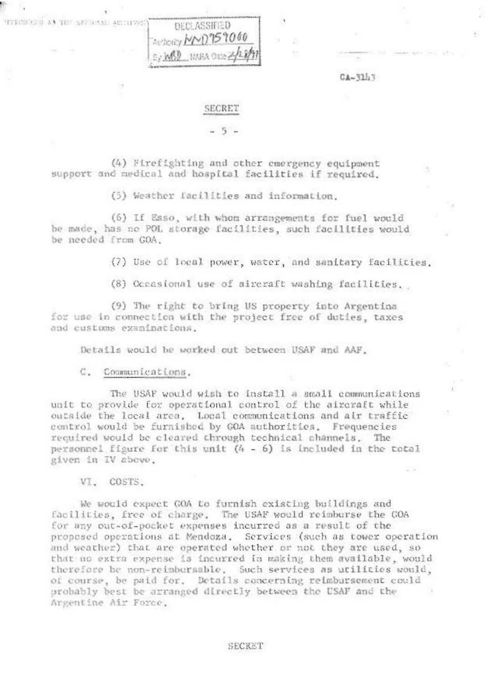| TEPROPAGN AT THE ANYNGAL ALTHVEST | DECLASSIFIED              |
|-----------------------------------|---------------------------|
|                                   | Factory MMD959000         |
|                                   | Ley MSD HARA Oate 2/28/97 |

 $CA-311.3$ 

 $\rightarrow$ 

## SECRET

## - 5 -

(4) Firefighting and other emergency equipment support and medical and hospital facilities if required.

(5) Weather facilities and information.

(6) If Esso, with whom arrangements for fuel would be made, has no POL storage facilities, such facilities would be needed from GOA.

(7) Use of local power, water, and sanitary facilities.

33

(8) Oceasional use of aircraft washing facilities.

(9) The right to bring US property into Argentina for use in connection with the project free of duties, taxes and customs examinations.

Details would be worked out between USAF and AAF.

C. Communications.

The USAF would wish to install a small communications unit to provide for operational control of the aircraft while outside the local area. Local communications and air traffic control would be furnished by GOA authorities. Frequencies required would be cleared through technical channels. The personnel figure for this unit (4 - 6) is included in the total given in IV above.

VI. COSTS.

We would expect GOA to furnish existing buildings and facilities, free of charge. The USAF would reimburse the COA for any out-of-pocket expenses incurred as a result of the proposed operations at Mendoza. Services (such as tower operation and weather) that are operated whether or not they are used, so that no extra expense is incurred in making them available, would therefore be non-reimbursable. Such services as utilities would, of course, be paid for. Details concerning reimbursement could probably best be arranged directly between the USAF and the Argentine Air Force.